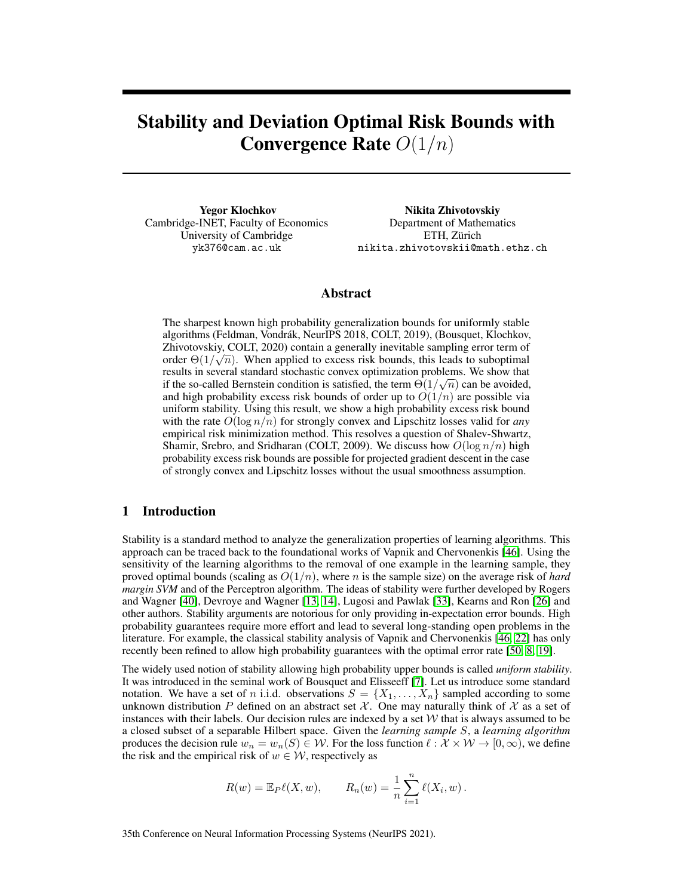# Stability and Deviation Optimal Risk Bounds with **Convergence Rate**  $O(1/n)$

Yegor Klochkov Cambridge-INET, Faculty of Economics University of Cambridge yk376@cam.ac.uk

Nikita Zhivotovskiy Department of Mathematics ETH, Zürich nikita.zhivotovskii@math.ethz.ch

# Abstract

The sharpest known high probability generalization bounds for uniformly stable algorithms (Feldman, Vondrák, NeurIPS 2018, COLT, 2019), (Bousquet, Klochkov, Zhivotovskiy, COLT, 2020) contain a generally inevitable sampling error term of order  $\Theta(1/\sqrt{n})$ . When applied to excess risk bounds, this leads to suboptimal results in several standard stochastic convex optimization problems. We show that if the so-called Bernstein condition is satisfied, the term  $\Theta(1/\sqrt{n})$  can be avoided, and high probability excess risk bounds of order up to  $O(1/n)$  are possible via uniform stability. Using this result, we show a high probability excess risk bound with the rate  $O(\log n/n)$  for strongly convex and Lipschitz losses valid for *any* empirical risk minimization method. This resolves a question of Shalev-Shwartz, Shamir, Srebro, and Sridharan (COLT, 2009). We discuss how  $O(\log n/n)$  high probability excess risk bounds are possible for projected gradient descent in the case of strongly convex and Lipschitz losses without the usual smoothness assumption.

## 1 Introduction

Stability is a standard method to analyze the generalization properties of learning algorithms. This approach can be traced back to the foundational works of Vapnik and Chervonenkis [\[46\]](#page-11-0). Using the sensitivity of the learning algorithms to the removal of one example in the learning sample, they proved optimal bounds (scaling as  $O(1/n)$ , where n is the sample size) on the average risk of *hard margin SVM* and of the Perceptron algorithm. The ideas of stability were further developed by Rogers and Wagner [\[40\]](#page-11-1), Devroye and Wagner [\[13,](#page-10-0) [14\]](#page-10-1), Lugosi and Pawlak [\[33\]](#page-11-2), Kearns and Ron [\[26\]](#page-11-3) and other authors. Stability arguments are notorious for only providing in-expectation error bounds. High probability guarantees require more effort and lead to several long-standing open problems in the literature. For example, the classical stability analysis of Vapnik and Chervonenkis [\[46,](#page-11-0) [22\]](#page-10-2) has only recently been refined to allow high probability guarantees with the optimal error rate [\[50,](#page-11-4) [8,](#page-10-3) [19\]](#page-10-4).

The widely used notion of stability allowing high probability upper bounds is called *uniform stability*. It was introduced in the seminal work of Bousquet and Elisseeff [\[7\]](#page-10-5). Let us introduce some standard notation. We have a set of n i.i.d. observations  $S = \{X_1, \ldots, X_n\}$  sampled according to some unknown distribution P defined on an abstract set X. One may naturally think of X as a set of instances with their labels. Our decision rules are indexed by a set  $W$  that is always assumed to be a closed subset of a separable Hilbert space. Given the *learning sample* S, a *learning algorithm* produces the decision rule  $w_n = w_n(S) \in \mathcal{W}$ . For the loss function  $\ell : \mathcal{X} \times \mathcal{W} \to [0, \infty)$ , we define the risk and the empirical risk of  $w \in \mathcal{W}$ , respectively as

$$
R(w) = \mathbb{E}_P \ell(X, w),
$$
  $R_n(w) = \frac{1}{n} \sum_{i=1}^n \ell(X_i, w).$ 

35th Conference on Neural Information Processing Systems (NeurIPS 2021).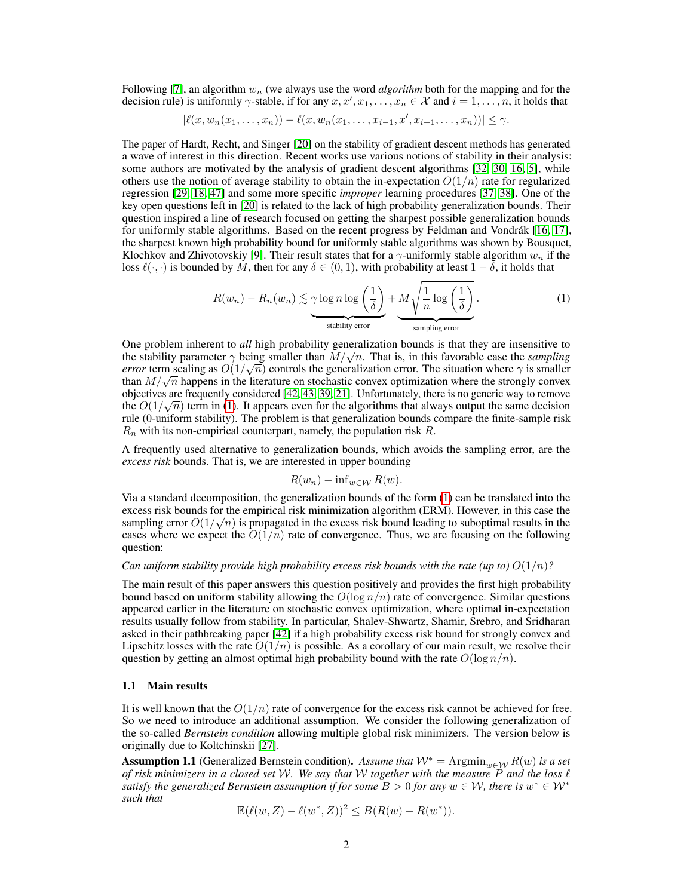Following [\[7\]](#page-10-5), an algorithm  $w_n$  (we always use the word *algorithm* both for the mapping and for the decision rule) is uniformly  $\gamma$ -stable, if for any  $x, x', x_1, \ldots, x_n \in \mathcal{X}$  and  $i = 1, \ldots, n$ , it holds that

$$
|\ell(x, w_n(x_1,...,x_n)) - \ell(x, w_n(x_1,...,x_{i-1},x',x_{i+1},...,x_n))| \leq \gamma.
$$

The paper of Hardt, Recht, and Singer [\[20\]](#page-10-6) on the stability of gradient descent methods has generated a wave of interest in this direction. Recent works use various notions of stability in their analysis: some authors are motivated by the analysis of gradient descent algorithms [\[32,](#page-11-5) [30,](#page-11-6) [16,](#page-10-7) [5\]](#page-10-8), while others use the notion of average stability to obtain the in-expectation  $O(1/n)$  rate for regularized regression [\[29,](#page-11-7) [18,](#page-10-9) [47\]](#page-11-8) and some more specific *improper* learning procedures [\[37,](#page-11-9) [38\]](#page-11-10). One of the key open questions left in [\[20\]](#page-10-6) is related to the lack of high probability generalization bounds. Their question inspired a line of research focused on getting the sharpest possible generalization bounds for uniformly stable algorithms. Based on the recent progress by Feldman and Vondrák [\[16,](#page-10-7) [17\]](#page-10-10), the sharpest known high probability bound for uniformly stable algorithms was shown by Bousquet, Klochkov and Zhivotovskiy [\[9\]](#page-10-11). Their result states that for a  $\gamma$ -uniformly stable algorithm  $w_n$  if the loss  $\ell(\cdot, \cdot)$  is bounded by M, then for any  $\delta \in (0, 1)$ , with probability at least  $1 - \delta$ , it holds that

$$
R(w_n) - R_n(w_n) \lesssim \underbrace{\gamma \log n \log \left(\frac{1}{\delta}\right)}_{\text{stability error}} + \underbrace{M \sqrt{\frac{1}{n} \log \left(\frac{1}{\delta}\right)}}_{\text{sampling error}}.
$$
 (1)

One problem inherent to *all* high probability generalization bounds is that they are insensitive to One problem inherent to *all* high probability generalization bounds is that they are insensitive to the stability parameter  $\gamma$  being smaller than  $M/\sqrt{n}$ . That is, in this favorable case the *sampling error* term scaling as  $O(1/\sqrt{n})$  controls the generalization error. The situation where  $\gamma$  is smaller *error* term scaling as  $O(1/\sqrt{n})$  controls the generalization error. The situation where  $\gamma$  is smaller than  $M/\sqrt{n}$  happens in the literature on stochastic convex optimization where the strongly convex objectives are frequently considered [\[42,](#page-11-11) [43,](#page-11-12) [39,](#page-11-13) [21\]](#page-10-12). Unfortunately, there is no generic way to remove the  $O(1/\sqrt{n})$  term in [\(1\)](#page-1-0). It appears even for the algorithms that always output the same decision rule (0-uniform stability). The problem is that generalization bounds compare the finite-sample risk  $R_n$  with its non-empirical counterpart, namely, the population risk R.

A frequently used alternative to generalization bounds, which avoids the sampling error, are the *excess risk* bounds. That is, we are interested in upper bounding

<span id="page-1-0"></span>
$$
R(w_n) - \inf_{w \in \mathcal{W}} R(w).
$$

Via a standard decomposition, the generalization bounds of the form [\(1\)](#page-1-0) can be translated into the excess risk bounds for the empirical risk minimization algorithm (ERM). However, in this case the sampling error  $O(1/\sqrt{n})$  is propagated in the excess risk bound leading to suboptimal results in the cases where we expect the  $O(1/n)$  rate of convergence. Thus, we are focusing on the following question:

#### *Can uniform stability provide high probability excess risk bounds with the rate (up to)*  $O(1/n)$ ?

The main result of this paper answers this question positively and provides the first high probability bound based on uniform stability allowing the  $O(\log n/n)$  rate of convergence. Similar questions appeared earlier in the literature on stochastic convex optimization, where optimal in-expectation results usually follow from stability. In particular, Shalev-Shwartz, Shamir, Srebro, and Sridharan asked in their pathbreaking paper [\[42\]](#page-11-11) if a high probability excess risk bound for strongly convex and Lipschitz losses with the rate  $O(1/n)$  is possible. As a corollary of our main result, we resolve their question by getting an almost optimal high probability bound with the rate  $O(\log n/n)$ .

#### 1.1 Main results

It is well known that the  $O(1/n)$  rate of convergence for the excess risk cannot be achieved for free. So we need to introduce an additional assumption. We consider the following generalization of the so-called *Bernstein condition* allowing multiple global risk minimizers. The version below is originally due to Koltchinskii [\[27\]](#page-11-14).

<span id="page-1-1"></span>**Assumption 1.1** (Generalized Bernstein condition). Assume that  $W^* = \text{Argmin}_{w \in \mathcal{W}} R(w)$  is a set *of risk minimizers in a closed set* W*. We say that* W *together with the measure* P *and the loss* ` *satisfy the generalized Bernstein assumption if for some*  $B > 0$  *for any*  $w \in \mathcal{W}$ *, there is*  $w^* \in \mathcal{W}^*$ *such that*

$$
\mathbb{E}(\ell(w, Z) - \ell(w^*, Z))^2 \le B(R(w) - R(w^*)).
$$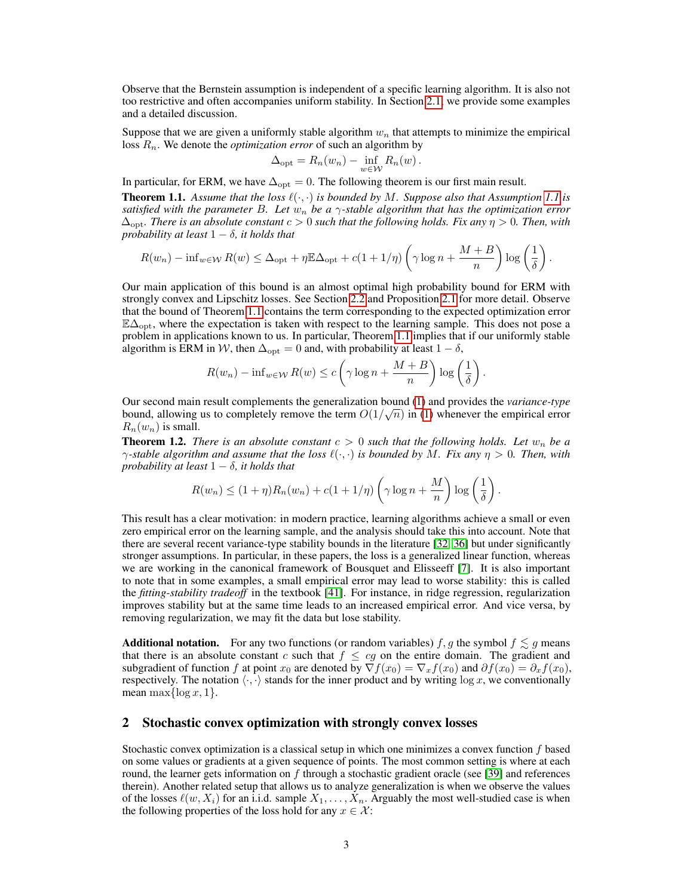Observe that the Bernstein assumption is independent of a specific learning algorithm. It is also not too restrictive and often accompanies uniform stability. In Section [2.1,](#page-3-0) we provide some examples and a detailed discussion.

Suppose that we are given a uniformly stable algorithm  $w<sub>n</sub>$  that attempts to minimize the empirical loss  $R_n$ . We denote the *optimization error* of such an algorithm by

$$
\Delta_{\text{opt}} = R_n(w_n) - \inf_{w \in \mathcal{W}} R_n(w).
$$

In particular, for ERM, we have  $\Delta_{opt} = 0$ . The following theorem is our first main result.

<span id="page-2-0"></span>**Theorem [1.1](#page-1-1).** Assume that the loss  $\ell(\cdot, \cdot)$  is bounded by M. Suppose also that Assumption 1.1 is *satisfied with the parameter* B*. Let* w<sup>n</sup> *be a* γ*-stable algorithm that has the optimization error*  $\Delta_{\text{opt}}$ *. There is an absolute constant*  $c > 0$  *such that the following holds. Fix any*  $\eta > 0$ *. Then, with probability at least*  $1 - \delta$ *, it holds that* 

$$
R(w_n) - \inf_{w \in \mathcal{W}} R(w) \le \Delta_{\text{opt}} + \eta \mathbb{E}\Delta_{\text{opt}} + c(1 + 1/\eta) \left(\gamma \log n + \frac{M+B}{n}\right) \log\left(\frac{1}{\delta}\right)
$$

.

Our main application of this bound is an almost optimal high probability bound for ERM with strongly convex and Lipschitz losses. See Section [2.2](#page-4-0) and Proposition [2.1](#page-4-1) for more detail. Observe that the bound of Theorem [1.1](#page-2-0) contains the term corresponding to the expected optimization error  $E\Delta_{\text{opt}}$ , where the expectation is taken with respect to the learning sample. This does not pose a problem in applications known to us. In particular, Theorem [1.1](#page-2-0) implies that if our uniformly stable algorithm is ERM in W, then  $\Delta_{opt} = 0$  and, with probability at least  $1 - \delta$ ,

$$
R(w_n) - \inf_{w \in \mathcal{W}} R(w) \le c \left( \gamma \log n + \frac{M+B}{n} \right) \log \left( \frac{1}{\delta} \right).
$$

Our second main result complements the generalization bound [\(1\)](#page-1-0) and provides the *variance-type* √ bound, allowing us to completely remove the term  $O(1/\sqrt{n})$  in [\(1\)](#page-1-0) whenever the empirical error  $R_n(w_n)$  is small.

<span id="page-2-1"></span>**Theorem 1.2.** *There is an absolute constant*  $c > 0$  *such that the following holds. Let*  $w_n$  *be a*  $\gamma$ -stable algorithm and assume that the loss  $\ell(\cdot, \cdot)$  is bounded by M. Fix any  $\eta > 0$ . Then, with *probability at least*  $1 - \delta$ *, it holds that* 

$$
R(w_n) \le (1+\eta)R_n(w_n) + c(1+1/\eta)\left(\gamma\log n + \frac{M}{n}\right)\log\left(\frac{1}{\delta}\right).
$$

This result has a clear motivation: in modern practice, learning algorithms achieve a small or even zero empirical error on the learning sample, and the analysis should take this into account. Note that there are several recent variance-type stability bounds in the literature [\[32,](#page-11-5) [36\]](#page-11-15) but under significantly stronger assumptions. In particular, in these papers, the loss is a generalized linear function, whereas we are working in the canonical framework of Bousquet and Elisseeff [\[7\]](#page-10-5). It is also important to note that in some examples, a small empirical error may lead to worse stability: this is called the *fitting-stability tradeoff* in the textbook [\[41\]](#page-11-16). For instance, in ridge regression, regularization improves stability but at the same time leads to an increased empirical error. And vice versa, by removing regularization, we may fit the data but lose stability.

**Additional notation.** For any two functions (or random variables) f, g the symbol  $f \lesssim g$  means that there is an absolute constant c such that  $f \le cg$  on the entire domain. The gradient and subgradient of function f at point  $x_0$  are denoted by  $\nabla f(x_0) = \nabla_x f(x_0)$  and  $\partial f(x_0) = \partial_x f(x_0)$ , respectively. The notation  $\langle \cdot, \cdot \rangle$  stands for the inner product and by writing log x, we conventionally mean max $\{\log x, 1\}.$ 

## 2 Stochastic convex optimization with strongly convex losses

Stochastic convex optimization is a classical setup in which one minimizes a convex function f based on some values or gradients at a given sequence of points. The most common setting is where at each round, the learner gets information on  $f$  through a stochastic gradient oracle (see [\[39\]](#page-11-13) and references therein). Another related setup that allows us to analyze generalization is when we observe the values of the losses  $\ell(w, X_i)$  for an i.i.d. sample  $X_1, \ldots, X_n$ . Arguably the most well-studied case is when the following properties of the loss hold for any  $x \in \mathcal{X}$ :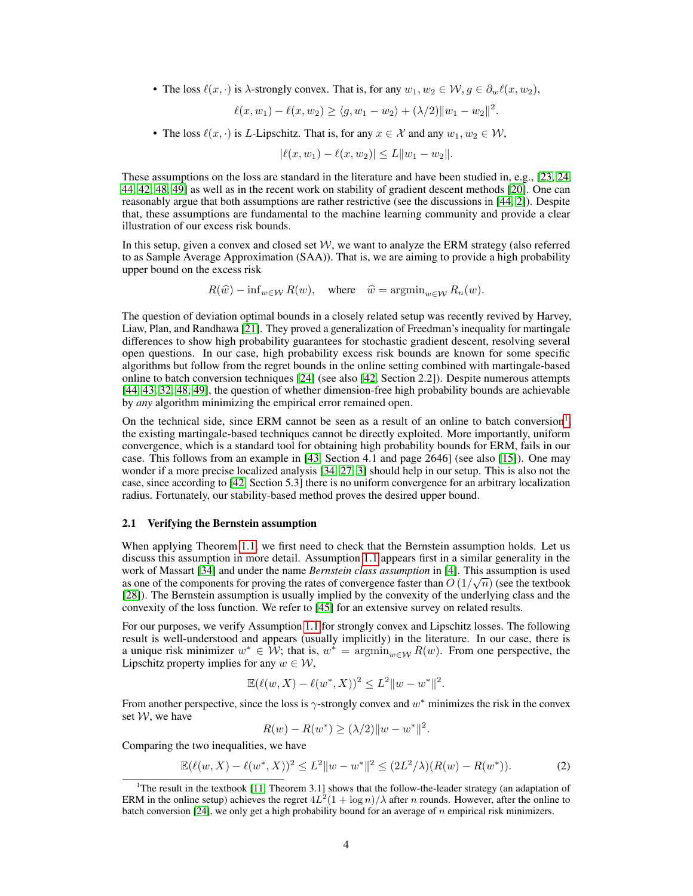• The loss  $\ell(x, \cdot)$  is  $\lambda$ -strongly convex. That is, for any  $w_1, w_2 \in \mathcal{W}, q \in \partial_w \ell(x, w_2)$ ,

$$
\ell(x, w_1) - \ell(x, w_2) \ge \langle g, w_1 - w_2 \rangle + (\lambda/2) \|w_1 - w_2\|^2.
$$

• The loss  $\ell(x, \cdot)$  is L-Lipschitz. That is, for any  $x \in \mathcal{X}$  and any  $w_1, w_2 \in \mathcal{W}$ ,

$$
|\ell(x, w_1) - \ell(x, w_2)| \le L \|w_1 - w_2\|.
$$

These assumptions on the loss are standard in the literature and have been studied in, e.g., [\[23,](#page-10-13) [24,](#page-10-14) [44,](#page-11-17) [42,](#page-11-11) [48,](#page-11-18) [49\]](#page-11-19) as well as in the recent work on stability of gradient descent methods [\[20\]](#page-10-6). One can reasonably argue that both assumptions are rather restrictive (see the discussions in [\[44,](#page-11-17) [2\]](#page-10-15)). Despite that, these assumptions are fundamental to the machine learning community and provide a clear illustration of our excess risk bounds.

In this setup, given a convex and closed set  $W$ , we want to analyze the ERM strategy (also referred to as Sample Average Approximation (SAA)). That is, we are aiming to provide a high probability upper bound on the excess risk

$$
R(\widehat{w}) - \inf_{w \in \mathcal{W}} R(w), \quad \text{where} \quad \widehat{w} = \operatorname{argmin}_{w \in \mathcal{W}} R_n(w).
$$

The question of deviation optimal bounds in a closely related setup was recently revived by Harvey, Liaw, Plan, and Randhawa [\[21\]](#page-10-12). They proved a generalization of Freedman's inequality for martingale differences to show high probability guarantees for stochastic gradient descent, resolving several open questions. In our case, high probability excess risk bounds are known for some specific algorithms but follow from the regret bounds in the online setting combined with martingale-based online to batch conversion techniques [\[24\]](#page-10-14) (see also [\[42,](#page-11-11) Section 2.2]). Despite numerous attempts [\[44,](#page-11-17) [43,](#page-11-12) [32,](#page-11-5) [48,](#page-11-18) [49\]](#page-11-19), the question of whether dimension-free high probability bounds are achievable by *any* algorithm minimizing the empirical error remained open.

On the technical side, since ERM cannot be seen as a result of an online to batch conversion<sup>[1](#page-3-1)</sup>, the existing martingale-based techniques cannot be directly exploited. More importantly, uniform convergence, which is a standard tool for obtaining high probability bounds for ERM, fails in our case. This follows from an example in [\[43,](#page-11-12) Section 4.1 and page 2646] (see also [\[15\]](#page-10-16)). One may wonder if a more precise localized analysis [\[34,](#page-11-20) [27,](#page-11-14) [3\]](#page-10-17) should help in our setup. This is also not the case, since according to [\[42,](#page-11-11) Section 5.3] there is no uniform convergence for an arbitrary localization radius. Fortunately, our stability-based method proves the desired upper bound.

## <span id="page-3-0"></span>2.1 Verifying the Bernstein assumption

When applying Theorem [1.1,](#page-2-0) we first need to check that the Bernstein assumption holds. Let us discuss this assumption in more detail. Assumption [1.1](#page-1-1) appears first in a similar generality in the work of Massart [\[34\]](#page-11-20) and under the name *Bernstein class assumption* in [\[4\]](#page-10-18). This assumption is used √ as one of the components for proving the rates of convergence faster than  $O(1/\sqrt{n})$  (see the textbook [\[28\]](#page-11-21)). The Bernstein assumption is usually implied by the convexity of the underlying class and the convexity of the loss function. We refer to [\[45\]](#page-11-22) for an extensive survey on related results.

For our purposes, we verify Assumption [1.1](#page-1-1) for strongly convex and Lipschitz losses. The following result is well-understood and appears (usually implicitly) in the literature. In our case, there is a unique risk minimizer  $w^* \in \mathcal{W}$ ; that is,  $w^* = \operatorname{argmin}_{w \in \mathcal{W}} R(w)$ . From one perspective, the Lipschitz property implies for any  $w \in \mathcal{W}$ ,

$$
\mathbb{E}(\ell(w, X) - \ell(w^*, X))^2 \le L^2 \|w - w^*\|^2.
$$

From another perspective, since the loss is  $\gamma$ -strongly convex and  $w^*$  minimizes the risk in the convex set  $W$ , we have

$$
R(w) - R(w^*) \ge (\lambda/2) \|w - w^*\|^2.
$$

Comparing the two inequalities, we have

$$
\mathbb{E}(\ell(w, X) - \ell(w^*, X))^2 \le L^2 \|w - w^*\|^2 \le (2L^2/\lambda)(R(w) - R(w^*)).\tag{2}
$$

<span id="page-3-1"></span><sup>&</sup>lt;sup>1</sup>The result in the textbook [\[11,](#page-10-19) Theorem 3.1] shows that the follow-the-leader strategy (an adaptation of ERM in the online setup) achieves the regret  $4L^2(1 + \log n)/\lambda$  after *n* rounds. However, after the online to batch conversion [\[24\]](#page-10-14), we only get a high probability bound for an average of  $n$  empirical risk minimizers.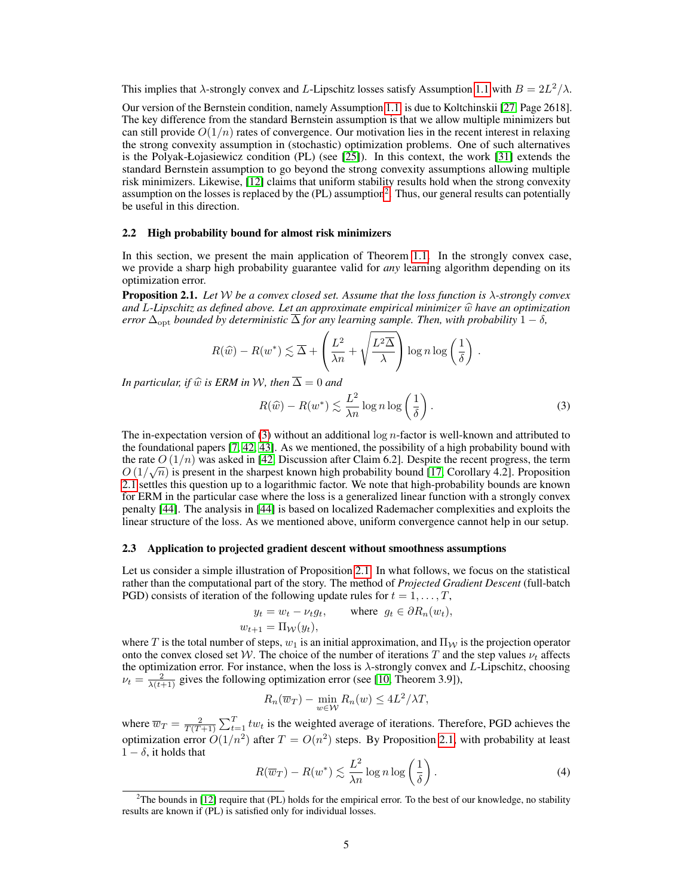This implies that  $\lambda$ -strongly convex and L-Lipschitz losses satisfy Assumption [1.1](#page-1-1) with  $B = 2L^2/\lambda$ .

Our version of the Bernstein condition, namely Assumption [1.1,](#page-1-1) is due to Koltchinskii [\[27,](#page-11-14) Page 2618]. The key difference from the standard Bernstein assumption is that we allow multiple minimizers but can still provide  $O(1/n)$  rates of convergence. Our motivation lies in the recent interest in relaxing the strong convexity assumption in (stochastic) optimization problems. One of such alternatives is the Polyak-Łojasiewicz condition (PL) (see [\[25\]](#page-10-20)). In this context, the work [\[31\]](#page-11-23) extends the standard Bernstein assumption to go beyond the strong convexity assumptions allowing multiple risk minimizers. Likewise, [\[12\]](#page-10-21) claims that uniform stability results hold when the strong convexity assumption on the losses is replaced by the  $(PL)$  assumption<sup>[2](#page-4-2)</sup>. Thus, our general results can potentially be useful in this direction.

## <span id="page-4-0"></span>2.2 High probability bound for almost risk minimizers

In this section, we present the main application of Theorem [1.1.](#page-2-0) In the strongly convex case, we provide a sharp high probability guarantee valid for *any* learning algorithm depending on its optimization error.

<span id="page-4-1"></span>Proposition 2.1. *Let* W *be a convex closed set. Assume that the loss function is* λ*-strongly convex and* L-Lipschitz as defined above. Let an approximate empirical minimizer  $\hat{w}$  have an optimization *error*  $\Delta_{\text{opt}}$  *bounded by deterministic*  $\Delta$  *for any learning sample. Then, with probability*  $1 - \delta$ *,* 

$$
R(\widehat{w}) - R(w^*) \lesssim \overline{\Delta} + \left(\frac{L^2}{\lambda n} + \sqrt{\frac{L^2 \overline{\Delta}}{\lambda}}\right) \log n \log \left(\frac{1}{\delta}\right).
$$

*In particular, if*  $\widehat{w}$  *is ERM in* W, then  $\overline{\Delta} = 0$  *and* 

<span id="page-4-3"></span>
$$
R(\widehat{w}) - R(w^*) \lesssim \frac{L^2}{\lambda n} \log n \log \left(\frac{1}{\delta}\right). \tag{3}
$$

The in-expectation version of [\(3\)](#page-4-3) without an additional log  $n$ -factor is well-known and attributed to the foundational papers [\[7,](#page-10-5) [42,](#page-11-11) [43\]](#page-11-12). As we mentioned, the possibility of a high probability bound with the rate  $O(1/n)$  was asked in [\[42,](#page-11-11) Discussion after Claim 6.2]. Despite the recent progress, the term  $O(1/\sqrt{n})$  is present in the sharpest known high probability bound [\[17,](#page-10-10) Corollary 4.2]. Proposition [2.1](#page-4-1) settles this question up to a logarithmic factor. We note that high-probability bounds are known for ERM in the particular case where the loss is a generalized linear function with a strongly convex penalty [\[44\]](#page-11-17). The analysis in [\[44\]](#page-11-17) is based on localized Rademacher complexities and exploits the linear structure of the loss. As we mentioned above, uniform convergence cannot help in our setup.

#### 2.3 Application to projected gradient descent without smoothness assumptions

Let us consider a simple illustration of Proposition [2.1.](#page-4-1) In what follows, we focus on the statistical rather than the computational part of the story. The method of *Projected Gradient Descent* (full-batch PGD) consists of iteration of the following update rules for  $t = 1, \ldots, T$ ,

$$
y_t = w_t - \nu_t g_t, \quad \text{where } g_t \in \partial R_n(w_t),
$$
  

$$
w_{t+1} = \Pi_{\mathcal{W}}(y_t),
$$

where T is the total number of steps,  $w_1$  is an initial approximation, and  $\Pi_W$  is the projection operator onto the convex closed set W. The choice of the number of iterations T and the step values  $\nu_t$  affects the optimization error. For instance, when the loss is  $\lambda$ -strongly convex and L-Lipschitz, choosing  $\nu_t = \frac{2}{\lambda(t+1)}$  gives the following optimization error (see [\[10,](#page-10-22) Theorem 3.9]),

$$
R_n(\overline{w}_T) - \min_{w \in \mathcal{W}} R_n(w) \le 4L^2/\lambda T,
$$

where  $\overline{w}_T = \frac{2}{T(T+1)} \sum_{t=1}^T tw_t$  is the weighted average of iterations. Therefore, PGD achieves the optimization error  $O(1/n^2)$  after  $T = O(n^2)$  steps. By Proposition [2.1,](#page-4-1) with probability at least  $1 - \delta$ , it holds that

<span id="page-4-4"></span>
$$
R(\overline{w}_T) - R(w^*) \lesssim \frac{L^2}{\lambda n} \log n \log \left(\frac{1}{\delta}\right). \tag{4}
$$

<span id="page-4-2"></span> $2^2$ The bounds in [\[12\]](#page-10-21) require that (PL) holds for the empirical error. To the best of our knowledge, no stability results are known if (PL) is satisfied only for individual losses.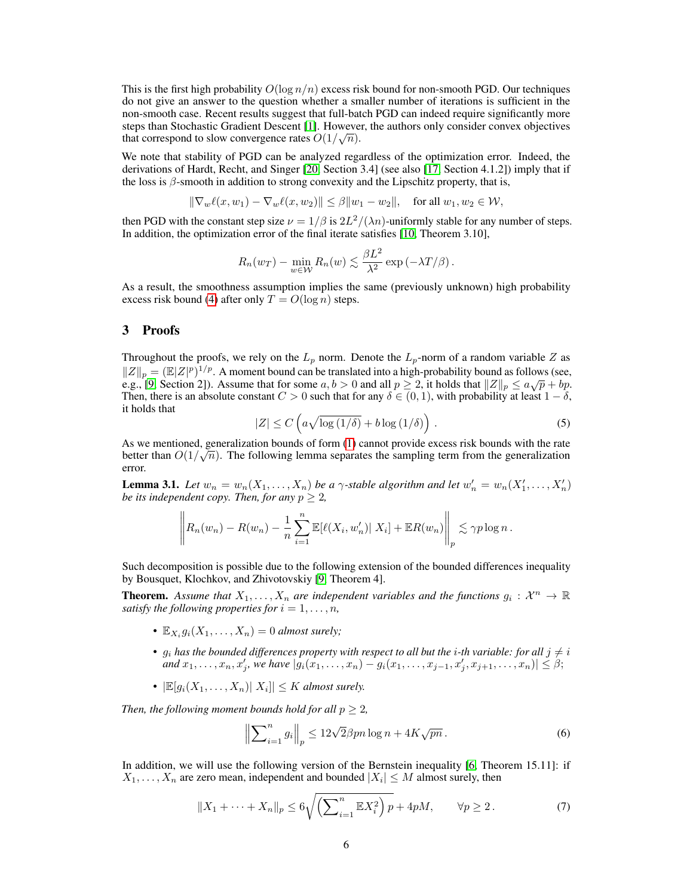This is the first high probability  $O(\log n/n)$  excess risk bound for non-smooth PGD. Our techniques do not give an answer to the question whether a smaller number of iterations is sufficient in the non-smooth case. Recent results suggest that full-batch PGD can indeed require significantly more steps than Stochastic Gradient Descent [\[1\]](#page-10-23). However, the authors only consider convex objectives that correspond to slow convergence rates  $O(1/\sqrt{n})$ .

We note that stability of PGD can be analyzed regardless of the optimization error. Indeed, the derivations of Hardt, Recht, and Singer [\[20,](#page-10-6) Section 3.4] (see also [\[17,](#page-10-10) Section 4.1.2]) imply that if the loss is  $\beta$ -smooth in addition to strong convexity and the Lipschitz property, that is,

$$
\|\nabla_w \ell(x, w_1) - \nabla_w \ell(x, w_2)\| \le \beta \|w_1 - w_2\|, \quad \text{for all } w_1, w_2 \in \mathcal{W},
$$

then PGD with the constant step size  $\nu = 1/\beta$  is  $2L^2/(\lambda n)$ -uniformly stable for any number of steps. In addition, the optimization error of the final iterate satisfies [\[10,](#page-10-22) Theorem 3.10],

$$
R_n(w_T) - \min_{w \in \mathcal{W}} R_n(w) \lesssim \frac{\beta L^2}{\lambda^2} \exp(-\lambda T/\beta).
$$

As a result, the smoothness assumption implies the same (previously unknown) high probability excess risk bound [\(4\)](#page-4-4) after only  $T = O(\log n)$  steps.

## 3 Proofs

Throughout the proofs, we rely on the  $L_p$  norm. Denote the  $L_p$ -norm of a random variable Z as  $||Z||_p = (E|Z|^p)^{1/p}$ . A moment bound can be translated into a high-probability bound as follows (see,  $||Z||_p = (||Z||^2)^{1/2}$ . A moment bound can be translated into a high-probability bound as follows (see, e.g., [\[9,](#page-10-11) Section 2]). Assume that for some  $a, b > 0$  and all  $p \ge 2$ , it holds that  $||Z||_p \le a\sqrt{p} + bp$ . Then, there is an absolute constant  $C > 0$  such that for any  $\delta \in (0, 1)$ , with probability at least  $1 - \delta$ , it holds that

$$
|Z| \le C \left( a \sqrt{\log \left( 1/\delta \right)} + b \log \left( 1/\delta \right) \right). \tag{5}
$$

<span id="page-5-3"></span>As we mentioned, generalization bounds of form  $(1)$  cannot provide excess risk bounds with the rate better than  $O(1/\sqrt{n})$ . The following lemma separates the sampling term from the generalization error.

<span id="page-5-0"></span>**Lemma 3.1.** Let  $w_n = w_n(X_1, \ldots, X_n)$  be a  $\gamma$ -stable algorithm and let  $w'_n = w_n(X'_1, \ldots, X'_n)$ *be its independent copy. Then, for any*  $p \geq 2$ *,* 

$$
\left\| R_n(w_n) - R(w_n) - \frac{1}{n} \sum_{i=1}^n \mathbb{E}[\ell(X_i, w'_n) | X_i] + \mathbb{E}R(w_n) \right\|_p \lesssim \gamma p \log n.
$$

Such decomposition is possible due to the following extension of the bounded differences inequality by Bousquet, Klochkov, and Zhivotovskiy [\[9,](#page-10-11) Theorem 4].

**Theorem.** Assume that  $X_1, \ldots, X_n$  are independent variables and the functions  $g_i: \mathcal{X}^n \to \mathbb{R}$ *satisfy the following properties for*  $i = 1, \ldots, n$ ,

- $\mathbb{E}_{X_i} g_i(X_1, \ldots, X_n) = 0$  *almost surely*;
- $g_i$  has the bounded differences property with respect to all but the *i*-th variable: for all  $j \neq i$  $\text{and } x_1, \ldots, x_n, x'_j, \text{ we have } |g_i(x_1, \ldots, x_n) - g_i(x_1, \ldots, x_{j-1}, x'_j, x_{j+1}, \ldots, x_n)| \leq \beta;$
- $|\mathbb{E}[g_i(X_1,\ldots,X_n)|\ X_i]| \leq K$  almost surely.

*Then, the following moment bounds hold for all*  $p \geq 2$ *,* 

<span id="page-5-2"></span><span id="page-5-1"></span>
$$
\left\| \sum_{i=1}^{n} g_i \right\|_p \le 12\sqrt{2}\beta pn \log n + 4K\sqrt{pn} \,. \tag{6}
$$

In addition, we will use the following version of the Bernstein inequality [\[6,](#page-10-24) Theorem 15.11]: if  $X_1, \ldots, X_n$  are zero mean, independent and bounded  $|X_i| \leq M$  almost surely, then

$$
||X_1 + \dots + X_n||_p \le 6\sqrt{\left(\sum_{i=1}^n \mathbb{E}X_i^2\right)p} + 4pM, \qquad \forall p \ge 2. \tag{7}
$$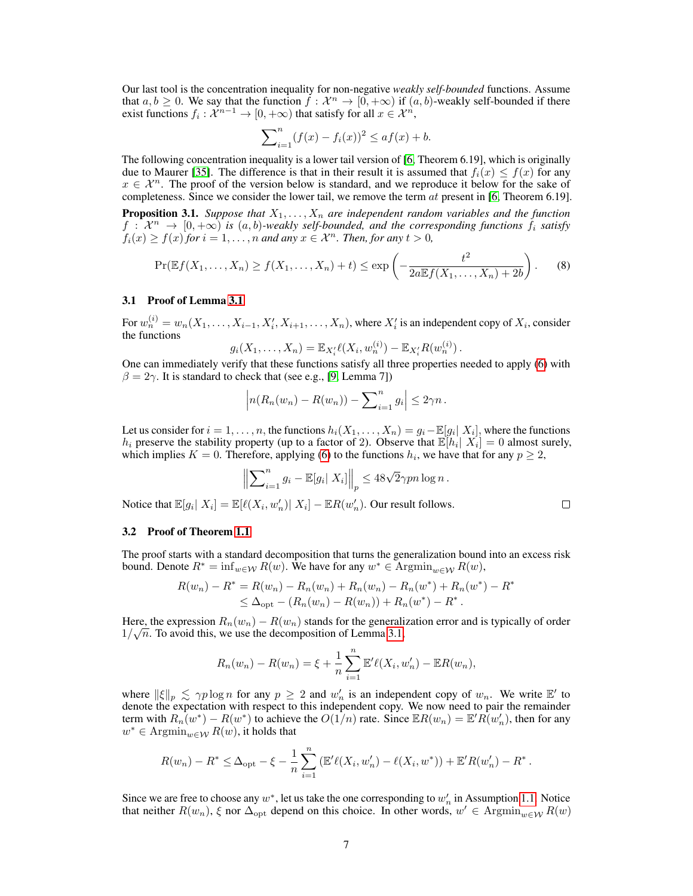Our last tool is the concentration inequality for non-negative *weakly self-bounded* functions. Assume that  $a, b \ge 0$ . We say that the function  $f: \mathcal{X}^n \to [0, +\infty)$  if  $(a, b)$ -weakly self-bounded if there exist functions  $f_i: \mathcal{X}^{n-1} \to [0,+\infty)$  that satisfy for all  $x \in \mathcal{X}^n$ ,

<span id="page-6-0"></span>
$$
\sum_{i=1}^{n} (f(x) - f_i(x))^2 \le af(x) + b.
$$

The following concentration inequality is a lower tail version of [\[6,](#page-10-24) Theorem 6.19], which is originally due to Maurer [\[35\]](#page-11-24). The difference is that in their result it is assumed that  $f_i(x) \leq f(x)$  for any  $x \in \mathcal{X}^n$ . The proof of the version below is standard, and we reproduce it below for the sake of completeness. Since we consider the lower tail, we remove the term  $at$  present in [\[6,](#page-10-24) Theorem 6.19].

<span id="page-6-1"></span>**Proposition 3.1.** *Suppose that*  $X_1, \ldots, X_n$  *are independent random variables and the function*  $f: \overline{X^n} \to [0, +\infty)$  is  $(a, b)$ -weakly self-bounded, and the corresponding functions  $f_i$  satisfy  $f_i(x) \ge f(x)$  *for*  $i = 1, \ldots, n$  *and any*  $x \in \mathcal{X}^n$ *. Then, for any*  $t > 0$ *,* 

$$
\Pr(\mathbb{E}f(X_1,\ldots,X_n)\geq f(X_1,\ldots,X_n)+t)\leq \exp\left(-\frac{t^2}{2a\mathbb{E}f(X_1,\ldots,X_n)+2b}\right).
$$
 (8)

#### 3.1 Proof of Lemma [3.1](#page-5-0)

For  $w_n^{(i)} = w_n(X_1, \ldots, X_{i-1}, X_i', X_{i+1}, \ldots, X_n)$ , where  $X_i'$  is an independent copy of  $X_i$ , consider the functions

$$
g_i(X_1,\ldots,X_n) = \mathbb{E}_{X_i'} \ell(X_i,w_n^{(i)}) - \mathbb{E}_{X_i'} R(w_n^{(i)})\,.
$$

One can immediately verify that these functions satisfy all three properties needed to apply [\(6\)](#page-5-1) with  $\beta = 2\gamma$ . It is standard to check that (see e.g., [\[9,](#page-10-11) Lemma 7])

$$
\left| n(R_n(w_n) - R(w_n)) - \sum_{i=1}^n g_i \right| \leq 2\gamma n \, .
$$

Let us consider for  $i = 1, \ldots, n$ , the functions  $h_i(X_1, \ldots, X_n) = g_i - \mathbb{E}[g_i | X_i]$ , where the functions  $h_i$  preserve the stability property (up to a factor of 2). Observe that  $\mathbb{E}[h_i | X_i] = 0$  almost surely, which implies  $K = 0$ . Therefore, applying [\(6\)](#page-5-1) to the functions  $h_i$ , we have that for any  $p \geq 2$ ,

$$
\left\|\sum_{i=1}^n g_i - \mathbb{E}[g_i|X_i]\right\|_p \leq 48\sqrt{2}\gamma pn \log n.
$$

Notice that  $\mathbb{E}[g_i | X_i] = \mathbb{E}[\ell(X_i, w'_n) | X_i] - \mathbb{E}[R(w'_n)]$ . Our result follows.

#### 3.2 Proof of Theorem [1.1](#page-2-0)

The proof starts with a standard decomposition that turns the generalization bound into an excess risk bound. Denote  $R^* = \inf_{w \in \mathcal{W}} R(w)$ . We have for any  $w^* \in \text{Argmin}_{w \in \mathcal{W}} R(w)$ ,

$$
R(w_n) - R^* = R(w_n) - R_n(w_n) + R_n(w_n) - R_n(w^*) + R_n(w^*) - R^*
$$
  
\n
$$
\leq \Delta_{\text{opt}} - (R_n(w_n) - R(w_n)) + R_n(w^*) - R^*.
$$

Here, the expression  $R_n(w_n) - R(w_n)$  stands for the generalization error and is typically of order  $1/\sqrt{n}$ . To avoid this, we use the decomposition of Lemma [3.1,](#page-5-0)

$$
R_n(w_n) - R(w_n) = \xi + \frac{1}{n} \sum_{i=1}^n \mathbb{E}' \ell(X_i, w'_n) - \mathbb{E} R(w_n),
$$

where  $\|\xi\|_p \lesssim \gamma p \log n$  for any  $p \geq 2$  and  $w'_n$  is an independent copy of  $w_n$ . We write  $\mathbb{E}'$  to denote the expectation with respect to this independent copy. We now need to pair the remainder term with  $R_n(w^*) - R(w^*)$  to achieve the  $O(1/n)$  rate. Since  $\mathbb{E}R(w_n) = \mathbb{E}'R(w'_n)$ , then for any  $w^* \in \text{Argmin}_{w \in \mathcal{W}} R(w)$ , it holds that

$$
R(w_n) - R^* \leq \Delta_{\text{opt}} - \xi - \frac{1}{n} \sum_{i=1}^n \left( \mathbb{E}'\ell(X_i, w_n') - \ell(X_i, w^*) \right) + \mathbb{E}'R(w_n') - R^*.
$$

Since we are free to choose any  $w^*$ , let us take the one corresponding to  $w'_n$  in Assumption [1.1.](#page-1-1) Notice that neither  $R(w_n)$ ,  $\xi$  nor  $\Delta_{\text{opt}}$  depend on this choice. In other words,  $w' \in \text{Argmin}_{w \in \mathcal{W}} R(w)$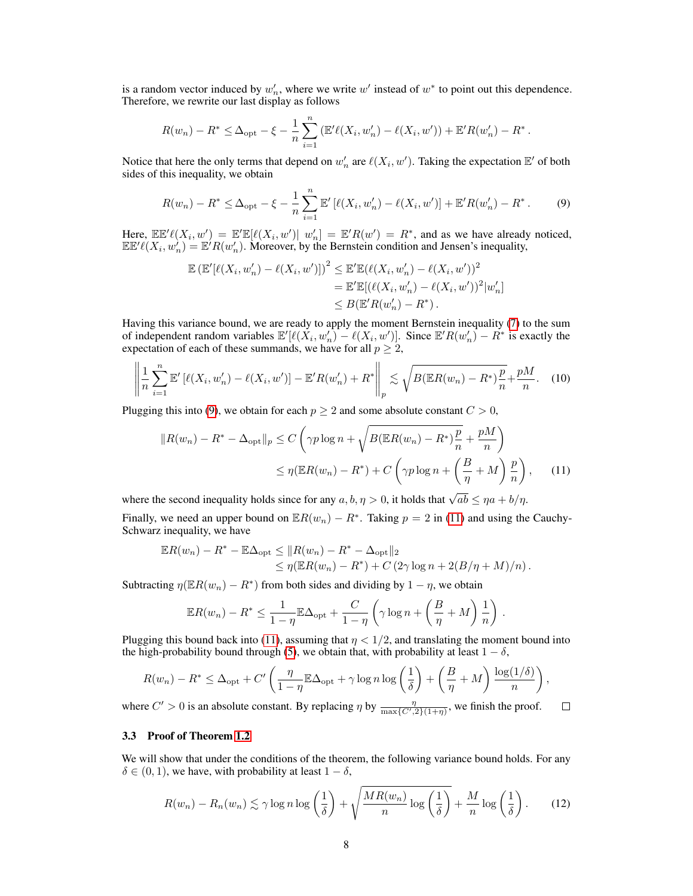is a random vector induced by  $w'_n$ , where we write  $w'$  instead of  $w^*$  to point out this dependence. Therefore, we rewrite our last display as follows

$$
R(w_n) - R^* \leq \Delta_{\text{opt}} - \xi - \frac{1}{n} \sum_{i=1}^n \left( \mathbb{E}' \ell(X_i, w'_n) - \ell(X_i, w') \right) + \mathbb{E}' R(w'_n) - R^*
$$

Notice that here the only terms that depend on  $w'_n$  are  $\ell(X_i, w')$ . Taking the expectation  $\mathbb{E}'$  of both sides of this inequality, we obtain

$$
R(w_n) - R^* \le \Delta_{\text{opt}} - \xi - \frac{1}{n} \sum_{i=1}^n \mathbb{E}' \left[ \ell(X_i, w'_n) - \ell(X_i, w') \right] + \mathbb{E}' R(w'_n) - R^* \,. \tag{9}
$$

<span id="page-7-3"></span><span id="page-7-0"></span>.

<span id="page-7-1"></span>.

Here,  $\mathbb{E} \mathbb{E}' \ell(X_i, w') = \mathbb{E}' \mathbb{E} [\ell(X_i, w')] \mid w'_n] = \mathbb{E}' R(w') = R^*$ , and as we have already noticed,  $\mathbb{E} \mathbb{E}' \ell(X_i, w_n) = \mathbb{E}' R(w_n)$ . Moreover, by the Bernstein condition and Jensen's inequality,

$$
\mathbb{E} (\mathbb{E}'[\ell(X_i, w'_n) - \ell(X_i, w')] )^2 \leq \mathbb{E}' \mathbb{E} (\ell(X_i, w'_n) - \ell(X_i, w'))^2
$$
  
=  $\mathbb{E}' \mathbb{E} [(\ell(X_i, w'_n) - \ell(X_i, w'))^2 |w'_n]$   
 $\leq B(\mathbb{E}' R(w'_n) - R^*).$ 

Having this variance bound, we are ready to apply the moment Bernstein inequality [\(7\)](#page-5-2) to the sum of independent random variables  $\mathbb{E}'[\ell(X_i, w'_n) - \ell(X_i, w')]$ . Since  $\mathbb{E}'R(w'_n) - R^*$  is exactly the expectation of each of these summands, we have for all  $p \geq 2$ ,

$$
\left\| \frac{1}{n} \sum_{i=1}^{n} \mathbb{E}' \left[ \ell(X_i, w'_n) - \ell(X_i, w') \right] - \mathbb{E}' R(w'_n) + R^* \right\|_p \lesssim \sqrt{B(\mathbb{E} R(w_n) - R^*) \frac{p}{n}} + \frac{pM}{n}.
$$
 (10)

Plugging this into [\(9\)](#page-7-0), we obtain for each  $p \geq 2$  and some absolute constant  $C > 0$ ,

$$
||R(w_n) - R^* - \Delta_{\text{opt}}||_p \le C \left(\gamma p \log n + \sqrt{B(\mathbb{E}R(w_n) - R^*)\frac{p}{n}} + \frac{pM}{n}\right)
$$
  

$$
\le \eta(\mathbb{E}R(w_n) - R^*) + C \left(\gamma p \log n + \left(\frac{B}{\eta} + M\right)\frac{p}{n}\right), \quad (11)
$$

where the second inequality holds since for any  $a, b, \eta > 0$ , it holds that  $\sqrt{ab} \leq \eta a + b/\eta$ .

Finally, we need an upper bound on  $\mathbb{E}R(w_n) - R^*$ . Taking  $p = 2$  in [\(11\)](#page-7-1) and using the Cauchy-Schwarz inequality, we have

$$
\mathbb{E}R(w_n) - R^* - \mathbb{E}\Delta_{\text{opt}} \le ||R(w_n) - R^* - \Delta_{\text{opt}}||_2
$$
  
\n
$$
\le \eta(\mathbb{E}R(w_n) - R^*) + C(2\gamma \log n + 2(B/\eta + M)/n).
$$

Subtracting  $\eta(\mathbb{E}R(w_n) - R^*)$  from both sides and dividing by  $1 - \eta$ , we obtain

$$
\mathbb{E}R(w_n) - R^* \le \frac{1}{1-\eta} \mathbb{E}\Delta_{\text{opt}} + \frac{C}{1-\eta} \left(\gamma \log n + \left(\frac{B}{\eta} + M\right) \frac{1}{n}\right)
$$

Plugging this bound back into [\(11\)](#page-7-1), assuming that  $\eta < 1/2$ , and translating the moment bound into the high-probability bound through [\(5\)](#page-5-3), we obtain that, with probability at least  $1 - \delta$ ,

$$
R(w_n) - R^* \le \Delta_{\text{opt}} + C' \left( \frac{\eta}{1 - \eta} \mathbb{E} \Delta_{\text{opt}} + \gamma \log n \log \left( \frac{1}{\delta} \right) + \left( \frac{B}{\eta} + M \right) \frac{\log(1/\delta)}{n} \right),
$$

where  $C' > 0$  is an absolute constant. By replacing  $\eta$  by  $\frac{\eta}{\max\{C', 2\}(1+\eta)}$ , we finish the proof.  $\Box$ 

## 3.3 Proof of Theorem [1.2](#page-2-1)

We will show that under the conditions of the theorem, the following variance bound holds. For any  $\delta \in (0, 1)$ , we have, with probability at least  $1 - \delta$ ,

<span id="page-7-2"></span>
$$
R(w_n) - R_n(w_n) \lesssim \gamma \log n \log \left(\frac{1}{\delta}\right) + \sqrt{\frac{MR(w_n)}{n} \log \left(\frac{1}{\delta}\right)} + \frac{M}{n} \log \left(\frac{1}{\delta}\right). \tag{12}
$$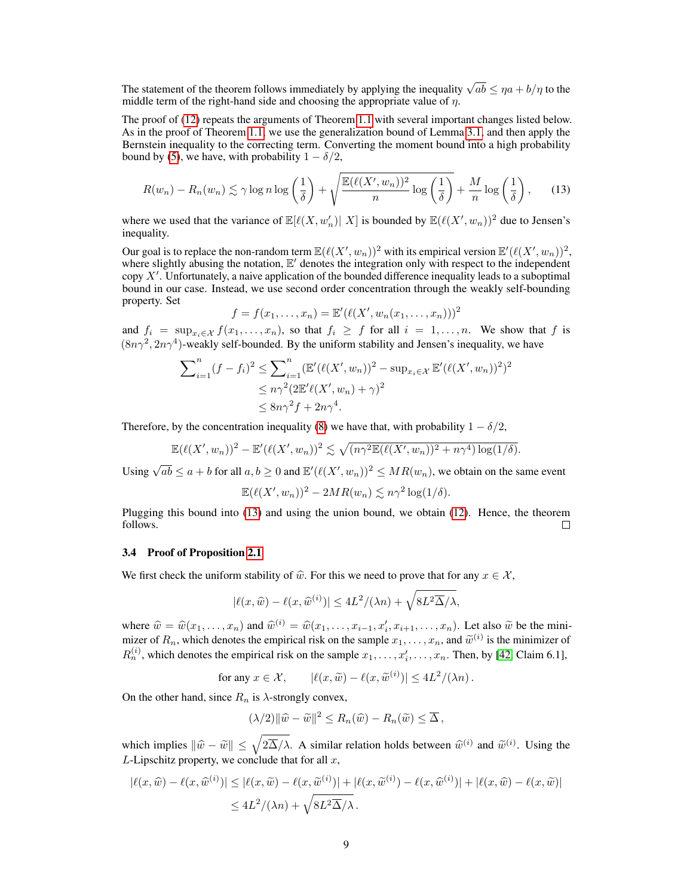The statement of the theorem follows immediately by applying the inequality  $\sqrt{ab} \le \eta a + b/\eta$  to the middle term of the right-hand side and choosing the appropriate value of  $\eta$ .

The proof of [\(12\)](#page-7-2) repeats the arguments of Theorem [1.1](#page-2-0) with several important changes listed below. As in the proof of Theorem [1.1,](#page-2-0) we use the generalization bound of Lemma [3.1,](#page-5-0) and then apply the Bernstein inequality to the correcting term. Converting the moment bound into a high probability bound by [\(5\)](#page-5-3), we have, with probability  $1 - \delta/2$ ,

$$
R(w_n) - R_n(w_n) \lesssim \gamma \log n \log \left(\frac{1}{\delta}\right) + \sqrt{\frac{\mathbb{E}(\ell(X', w_n))^2}{n} \log \left(\frac{1}{\delta}\right)} + \frac{M}{n} \log \left(\frac{1}{\delta}\right),\tag{13}
$$

where we used that the variance of  $\mathbb{E}[\ell(X, w'_n) | X]$  is bounded by  $\mathbb{E}(\ell(X', w_n))^2$  due to Jensen's inequality.

Our goal is to replace the non-random term  $\mathbb{E}(\ell(X', w_n))^2$  with its empirical version  $\mathbb{E}'(\ell(X', w_n))^2$ , where slightly abusing the notation,  $E'$  denotes the integration only with respect to the independent copy  $X'$ . Unfortunately, a naive application of the bounded difference inequality leads to a suboptimal bound in our case. Instead, we use second order concentration through the weakly self-bounding property. Set

<span id="page-8-0"></span>
$$
f = f(x_1,...,x_n) = \mathbb{E}'(\ell(X', w_n(x_1,...,x_n)))^2
$$

and  $f_i = \sup_{x_i \in \mathcal{X}} f(x_1, \ldots, x_n)$ , so that  $f_i \geq f$  for all  $i = 1, \ldots, n$ . We show that f is  $(8n\gamma^2, 2n\gamma^4)$ -weakly self-bounded. By the uniform stability and Jensen's inequality, we have

$$
\sum_{i=1}^{n} (f - f_i)^2 \le \sum_{i=1}^{n} (\mathbb{E}'(\ell(X', w_n))^2 - \sup_{x_i \in \mathcal{X}} \mathbb{E}'(\ell(X', w_n))^2)^2
$$
  

$$
\le n\gamma^2 (2\mathbb{E}'\ell(X', w_n) + \gamma)^2
$$
  

$$
\le 8n\gamma^2 f + 2n\gamma^4.
$$

Therefore, by the concentration inequality [\(8\)](#page-6-0) we have that, with probability  $1 - \delta/2$ ,

$$
\mathbb{E}(\ell(X', w_n))^2 - \mathbb{E}'(\ell(X', w_n))^2 \lesssim \sqrt{(n\gamma^2 \mathbb{E}(\ell(X', w_n))^2 + n\gamma^4) \log(1/\delta)}.
$$

Using  $\sqrt{ab} \le a + b$  for all  $a, b \ge 0$  and  $\mathbb{E}'(\ell(X', w_n))^2 \le MR(w_n)$ , we obtain on the same event

$$
\mathbb{E}(\ell(X', w_n))^2 - 2MR(w_n) \lesssim n\gamma^2 \log(1/\delta).
$$

Plugging this bound into [\(13\)](#page-8-0) and using the union bound, we obtain [\(12\)](#page-7-2). Hence, the theorem follows.  $\Box$ 

## 3.4 Proof of Proposition [2.1](#page-4-1)

We first check the uniform stability of  $\hat{w}$ . For this we need to prove that for any  $x \in \mathcal{X}$ ,

$$
|\ell(x,\widehat{w}) - \ell(x,\widehat{w}^{(i)})| \le 4L^2/(\lambda n) + \sqrt{8L^2\Delta/\lambda},
$$

where  $\hat{w} = \hat{w}(x_1, \ldots, x_n)$  and  $\hat{w}^{(i)} = \hat{w}(x_1, \ldots, x_{i-1}, x_i', x_{i+1}, \ldots, x_n)$ . Let also  $\tilde{w}$  be the mini-<br>mizer of  $P$ , which denotes the empirical risk on the sample  $x_i \in \mathbb{R}$  and  $\tilde{w}^{(i)}$  is the minimize mizer of  $R_n$ , which denotes the empirical risk on the sample  $x_1, \ldots, x_n$ , and  $\widetilde{w}^{(i)}$  is the minimizer of  $R_n^{(i)}$ , which denotes the empirical risk on the sample  $x_1, \ldots, x_i', \ldots, x_n$ . Then, by [\[42,](#page-11-11) Claim 6.1],

for any 
$$
x \in \mathcal{X}
$$
,  $|\ell(x, \widetilde{w}) - \ell(x, \widetilde{w}^{(i)})| \leq 4L^2/(\lambda n)$ .

On the other hand, since  $R_n$  is  $\lambda$ -strongly convex,

$$
(\lambda/2)||\widehat{w}-\widetilde{w}||^2 \leq R_n(\widehat{w})-R_n(\widetilde{w}) \leq \overline{\Delta},
$$

which implies  $\|\widehat{w} - \widetilde{w}\| \le \sqrt{2\Delta}/\lambda$ . A similar relation holds between  $\widehat{w}^{(i)}$  and  $\widetilde{w}^{(i)}$ . Using the L-Lipschitz property, we conclude that for all  $x$ ,

$$
|\ell(x,\widehat{w}) - \ell(x,\widehat{w}^{(i)})| \leq |\ell(x,\widetilde{w}) - \ell(x,\widetilde{w}^{(i)})| + |\ell(x,\widetilde{w}^{(i)}) - \ell(x,\widehat{w}^{(i)})| + |\ell(x,\widehat{w}) - \ell(x,\widetilde{w})|
$$
  

$$
\leq 4L^2/(\lambda n) + \sqrt{8L^2\Delta/\lambda}.
$$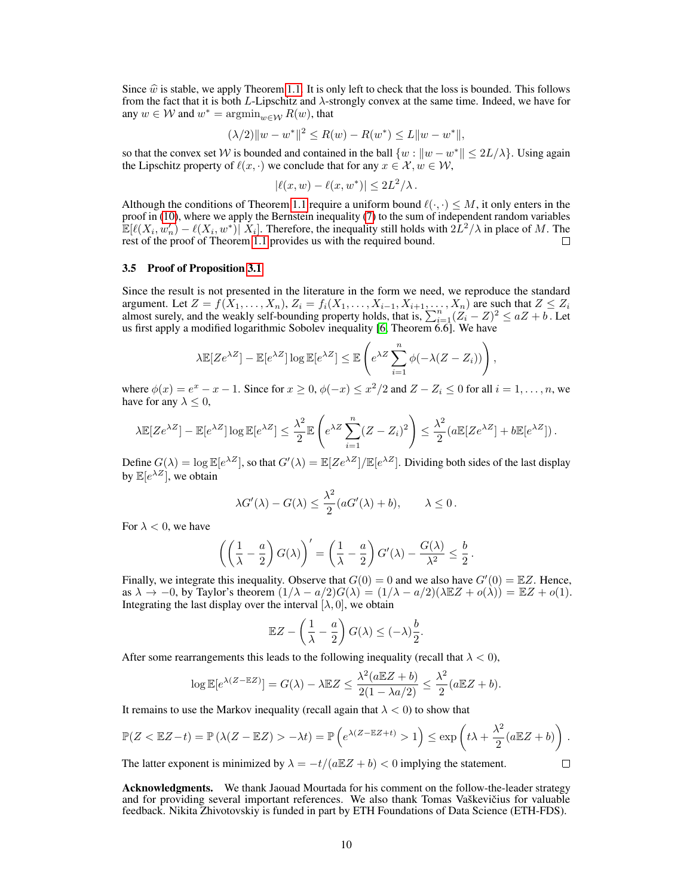Since  $\hat{w}$  is stable, we apply Theorem [1.1.](#page-2-0) It is only left to check that the loss is bounded. This follows from the fact that it is both L-Lipschitz and  $\lambda$ -strongly convex at the same time. Indeed, we have for any  $w \in \mathcal{W}$  and  $w^* = \operatorname{argmin}_{w \in \mathcal{W}} R(w)$ , that

$$
(\lambda/2)||w - w^*||^2 \le R(w) - R(w^*) \le L||w - w^*||,
$$

so that the convex set W is bounded and contained in the ball  $\{w : ||w - w^*|| \le 2L/\lambda\}$ . Using again the Lipschitz property of  $\ell(x, \cdot)$  we conclude that for any  $x \in \mathcal{X}, w \in \mathcal{W}$ ,

$$
|\ell(x, w) - \ell(x, w^*)| \le 2L^2/\lambda.
$$

Although the conditions of Theorem [1.1](#page-2-0) require a uniform bound  $\ell(\cdot, \cdot) \leq M$ , it only enters in the proof in [\(10\)](#page-7-3), where we apply the Bernstein inequality [\(7\)](#page-5-2) to the sum of independent random variables  $\mathbb{E}[\ell(X_i, w'_n) - \ell(X_i, w^*)] \cdot X_i]$ . Therefore, the inequality still holds with  $2L^2/\lambda$  in place of M. The rest of the proof of Theorem [1.1](#page-2-0) provides us with the required bound. П

#### 3.5 Proof of Proposition [3.1](#page-6-1)

Since the result is not presented in the literature in the form we need, we reproduce the standard argument. Let  $Z = f(X_1, \ldots, X_n)$ ,  $Z_i = f_i(X_1, \ldots, X_{i-1}, X_{i+1}, \ldots, X_n)$  are such that  $Z \le Z_i$ almost surely, and the weakly self-bounding property holds, that is,  $\sum_{i=1}^{n} (Z_i - Z)^2 \le aZ + b$ . Let us first apply a modified logarithmic Sobolev inequality [\[6,](#page-10-24) Theorem 6.6]. We have

$$
\lambda \mathbb{E}[Ze^{\lambda Z}] - \mathbb{E}[e^{\lambda Z}] \log \mathbb{E}[e^{\lambda Z}] \le \mathbb{E}\left(e^{\lambda Z} \sum_{i=1}^{n} \phi(-\lambda (Z - Z_i))\right)
$$

,

 $\Box$ 

where  $\phi(x) = e^x - x - 1$ . Since for  $x \ge 0$ ,  $\phi(-x) \le x^2/2$  and  $Z - Z_i \le 0$  for all  $i = 1, \ldots, n$ , we have for any  $\lambda \leq 0$ ,

$$
\lambda \mathbb{E}[Ze^{\lambda Z}] - \mathbb{E}[e^{\lambda Z}] \log \mathbb{E}[e^{\lambda Z}] \le \frac{\lambda^2}{2} \mathbb{E}\left(e^{\lambda Z} \sum_{i=1}^n (Z - Z_i)^2\right) \le \frac{\lambda^2}{2} (a \mathbb{E}[Ze^{\lambda Z}] + b \mathbb{E}[e^{\lambda Z}]).
$$

Define  $G(\lambda) = \log \mathbb{E}[e^{\lambda Z}]$ , so that  $G'(\lambda) = \mathbb{E}[Ze^{\lambda Z}]/\mathbb{E}[e^{\lambda Z}]$ . Dividing both sides of the last display by  $\mathbb{E}[e^{\lambda Z}]$ , we obtain

$$
\lambda G'(\lambda) - G(\lambda) \le \frac{\lambda^2}{2} (aG'(\lambda) + b), \qquad \lambda \le 0.
$$

For  $\lambda < 0$ , we have

$$
\left(\left(\frac{1}{\lambda}-\frac{a}{2}\right)G(\lambda)\right)'=\left(\frac{1}{\lambda}-\frac{a}{2}\right)G'(\lambda)-\frac{G(\lambda)}{\lambda^2}\leq \frac{b}{2}.
$$

Finally, we integrate this inequality. Observe that  $G(0) = 0$  and we also have  $G'(0) = \mathbb{E}Z$ . Hence, as  $\lambda \to -0$ , by Taylor's theorem  $(1/\lambda - a/2)G(\lambda) = (1/\lambda - a/2)(\lambda \mathbb{E} Z + o(\lambda)) = \mathbb{E} Z + o(1)$ . Integrating the last display over the interval  $[\lambda, 0]$ , we obtain

$$
\mathbb{E}Z - \left(\frac{1}{\lambda} - \frac{a}{2}\right)G(\lambda) \leq (-\lambda)\frac{b}{2}.
$$

After some rearrangements this leads to the following inequality (recall that  $\lambda < 0$ ),

$$
\log \mathbb{E}[e^{\lambda(Z - \mathbb{E}Z)}] = G(\lambda) - \lambda \mathbb{E}Z \le \frac{\lambda^2(a \mathbb{E}Z + b)}{2(1 - \lambda a/2)} \le \frac{\lambda^2}{2}(a \mathbb{E}Z + b).
$$

It remains to use the Markov inequality (recall again that  $\lambda < 0$ ) to show that

$$
\mathbb{P}(Z < \mathbb{E}Z - t) = \mathbb{P}\left(\lambda(Z - \mathbb{E}Z) > -\lambda t\right) = \mathbb{P}\left(e^{\lambda(Z - \mathbb{E}Z + t)} > 1\right) \le \exp\left(t\lambda + \frac{\lambda^2}{2}(a\mathbb{E}Z + b)\right).
$$

The latter exponent is minimized by  $\lambda = -t/(a\mathbb{E}Z + b) < 0$  implying the statement.

Acknowledgments. We thank Jaouad Mourtada for his comment on the follow-the-leader strategy and for providing several important references. We also thank Tomas Vaškevičius for valuable feedback. Nikita Zhivotovskiy is funded in part by ETH Foundations of Data Science (ETH-FDS).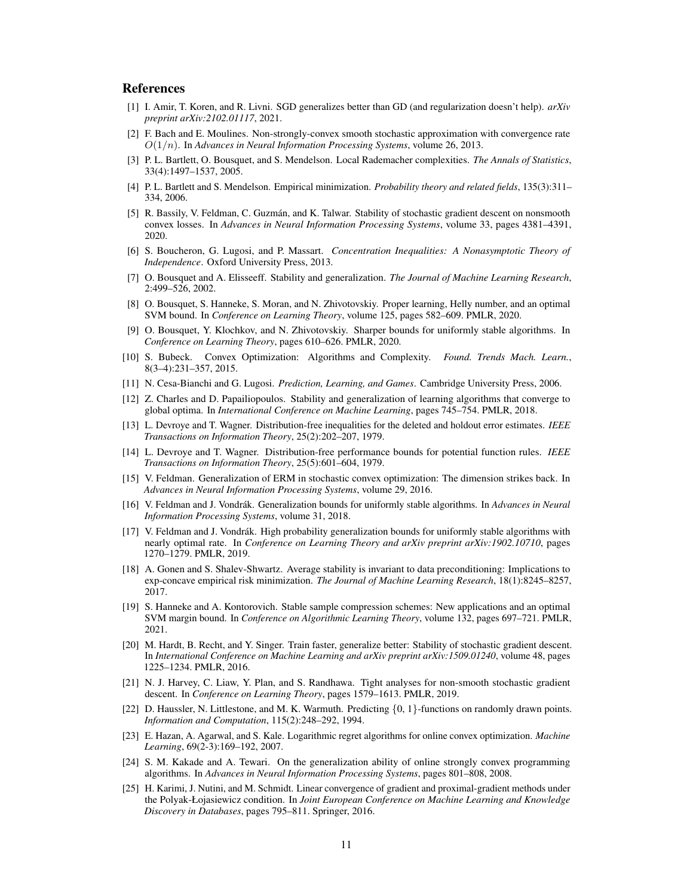# **References**

- <span id="page-10-23"></span>[1] I. Amir, T. Koren, and R. Livni. SGD generalizes better than GD (and regularization doesn't help). *arXiv preprint arXiv:2102.01117*, 2021.
- <span id="page-10-15"></span>[2] F. Bach and E. Moulines. Non-strongly-convex smooth stochastic approximation with convergence rate O(1/n). In *Advances in Neural Information Processing Systems*, volume 26, 2013.
- <span id="page-10-17"></span>[3] P. L. Bartlett, O. Bousquet, and S. Mendelson. Local Rademacher complexities. *The Annals of Statistics*, 33(4):1497–1537, 2005.
- <span id="page-10-18"></span>[4] P. L. Bartlett and S. Mendelson. Empirical minimization. *Probability theory and related fields*, 135(3):311– 334, 2006.
- <span id="page-10-8"></span>[5] R. Bassily, V. Feldman, C. Guzmán, and K. Talwar. Stability of stochastic gradient descent on nonsmooth convex losses. In *Advances in Neural Information Processing Systems*, volume 33, pages 4381–4391, 2020.
- <span id="page-10-24"></span>[6] S. Boucheron, G. Lugosi, and P. Massart. *Concentration Inequalities: A Nonasymptotic Theory of Independence*. Oxford University Press, 2013.
- <span id="page-10-5"></span>[7] O. Bousquet and A. Elisseeff. Stability and generalization. *The Journal of Machine Learning Research*, 2:499–526, 2002.
- <span id="page-10-3"></span>[8] O. Bousquet, S. Hanneke, S. Moran, and N. Zhivotovskiy. Proper learning, Helly number, and an optimal SVM bound. In *Conference on Learning Theory*, volume 125, pages 582–609. PMLR, 2020.
- <span id="page-10-11"></span>[9] O. Bousquet, Y. Klochkov, and N. Zhivotovskiy. Sharper bounds for uniformly stable algorithms. In *Conference on Learning Theory*, pages 610–626. PMLR, 2020.
- <span id="page-10-22"></span>[10] S. Bubeck. Convex Optimization: Algorithms and Complexity. *Found. Trends Mach. Learn.*, 8(3–4):231–357, 2015.
- <span id="page-10-19"></span>[11] N. Cesa-Bianchi and G. Lugosi. *Prediction, Learning, and Games*. Cambridge University Press, 2006.
- <span id="page-10-21"></span>[12] Z. Charles and D. Papailiopoulos. Stability and generalization of learning algorithms that converge to global optima. In *International Conference on Machine Learning*, pages 745–754. PMLR, 2018.
- <span id="page-10-0"></span>[13] L. Devroye and T. Wagner. Distribution-free inequalities for the deleted and holdout error estimates. *IEEE Transactions on Information Theory*, 25(2):202–207, 1979.
- <span id="page-10-1"></span>[14] L. Devroye and T. Wagner. Distribution-free performance bounds for potential function rules. *IEEE Transactions on Information Theory*, 25(5):601–604, 1979.
- <span id="page-10-16"></span>[15] V. Feldman. Generalization of ERM in stochastic convex optimization: The dimension strikes back. In *Advances in Neural Information Processing Systems*, volume 29, 2016.
- <span id="page-10-7"></span>[16] V. Feldman and J. Vondrák. Generalization bounds for uniformly stable algorithms. In *Advances in Neural Information Processing Systems*, volume 31, 2018.
- <span id="page-10-10"></span>[17] V. Feldman and J. Vondrák. High probability generalization bounds for uniformly stable algorithms with nearly optimal rate. In *Conference on Learning Theory and arXiv preprint arXiv:1902.10710*, pages 1270–1279. PMLR, 2019.
- <span id="page-10-9"></span>[18] A. Gonen and S. Shalev-Shwartz. Average stability is invariant to data preconditioning: Implications to exp-concave empirical risk minimization. *The Journal of Machine Learning Research*, 18(1):8245–8257, 2017.
- <span id="page-10-4"></span>[19] S. Hanneke and A. Kontorovich. Stable sample compression schemes: New applications and an optimal SVM margin bound. In *Conference on Algorithmic Learning Theory*, volume 132, pages 697–721. PMLR, 2021.
- <span id="page-10-6"></span>[20] M. Hardt, B. Recht, and Y. Singer. Train faster, generalize better: Stability of stochastic gradient descent. In *International Conference on Machine Learning and arXiv preprint arXiv:1509.01240*, volume 48, pages 1225–1234. PMLR, 2016.
- <span id="page-10-12"></span>[21] N. J. Harvey, C. Liaw, Y. Plan, and S. Randhawa. Tight analyses for non-smooth stochastic gradient descent. In *Conference on Learning Theory*, pages 1579–1613. PMLR, 2019.
- <span id="page-10-2"></span>[22] D. Haussler, N. Littlestone, and M. K. Warmuth. Predicting {0, 1}-functions on randomly drawn points. *Information and Computation*, 115(2):248–292, 1994.
- <span id="page-10-13"></span>[23] E. Hazan, A. Agarwal, and S. Kale. Logarithmic regret algorithms for online convex optimization. *Machine Learning*, 69(2-3):169–192, 2007.
- <span id="page-10-14"></span>[24] S. M. Kakade and A. Tewari. On the generalization ability of online strongly convex programming algorithms. In *Advances in Neural Information Processing Systems*, pages 801–808, 2008.
- <span id="page-10-20"></span>[25] H. Karimi, J. Nutini, and M. Schmidt. Linear convergence of gradient and proximal-gradient methods under the Polyak-Łojasiewicz condition. In *Joint European Conference on Machine Learning and Knowledge Discovery in Databases*, pages 795–811. Springer, 2016.